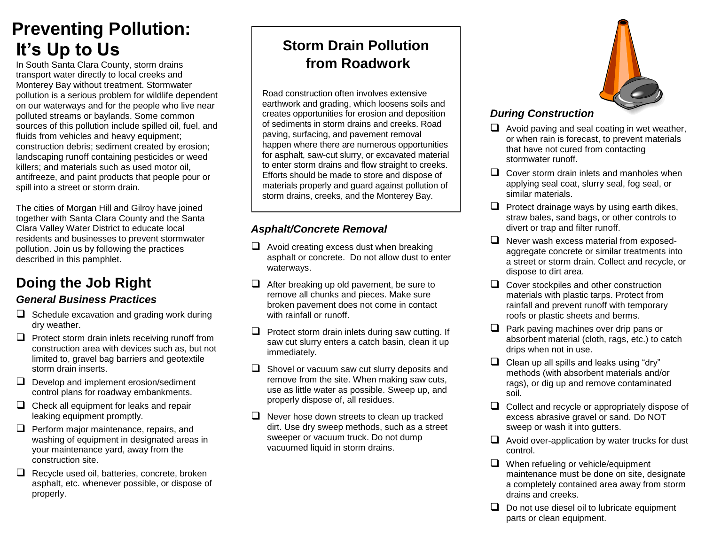# **Preventing Pollution: It's Up to Us**

In South Santa Clara County, storm drains transport water directly to local creeks and Monterey Bay without treatment. Stormwater pollution is a serious problem for wildlife dependent on our waterways and for the people who live near polluted streams or baylands. Some common sources of this pollution include spilled oil, fuel, and fluids from vehicles and heavy equipment; construction debris; sediment created by erosion; landscaping runoff containing pesticides or weed killers; and materials such as used motor oil, antifreeze, and paint products that people pour or spill into a street or storm drain.

The cities of Morgan Hill and Gilroy have joined together with Santa Clara County and the Santa Clara Valley Water District to educate local residents and businesses to prevent stormwater pollution. Join us by following the practices described in this pamphlet.

# **Doing the Job Right**

# *General Business Practices*

- $\Box$  Schedule excavation and grading work during dry weather.
- $\Box$  Protect storm drain inlets receiving runoff from construction area with devices such as, but not limited to, gravel bag barriers and geotextile storm drain inserts.
- $\Box$  Develop and implement erosion/sediment control plans for roadway embankments.
- $\Box$  Check all equipment for leaks and repair leaking equipment promptly.
- $\Box$  Perform major maintenance, repairs, and washing of equipment in designated areas in your maintenance yard, away from the construction site.
- $\Box$  Recycle used oil, batteries, concrete, broken asphalt, etc. whenever possible, or dispose of properly.

# **Storm Drain Pollution from Roadwork**

Road construction often involves extensive earthwork and grading, which loosens soils and creates opportunities for erosion and deposition of sediments in storm drains and creeks. Road paving, surfacing, and pavement removal happen where there are numerous opportunities for asphalt, saw-cut slurry, or excavated material to enter storm drains and flow straight to creeks. Efforts should be made to store and dispose of materials properly and guard against pollution of storm drains, creeks, and the Monterey Bay.

# *Asphalt/Concrete Removal*

- $\Box$  Avoid creating excess dust when breaking asphalt or concrete. Do not allow dust to enter waterways.
- $\Box$  After breaking up old pavement, be sure to remove all chunks and pieces. Make sure broken pavement does not come in contact with rainfall or runoff.
- $\Box$  Protect storm drain inlets during saw cutting. If saw cut slurry enters a catch basin, clean it up immediately.
- $\Box$  Shovel or vacuum saw cut slurry deposits and remove from the site. When making saw cuts, use as little water as possible. Sweep up, and properly dispose of, all residues.
- $\Box$  Never hose down streets to clean up tracked dirt. Use dry sweep methods, such as a street sweeper or vacuum truck. Do not dump vacuumed liquid in storm drains.



# *During Construction*

- $\Box$  Avoid paving and seal coating in wet weather, or when rain is forecast, to prevent materials that have not cured from contacting stormwater runoff.
- $\Box$  Cover storm drain inlets and manholes when applying seal coat, slurry seal, fog seal, or similar materials.
- $\Box$  Protect drainage ways by using earth dikes, straw bales, sand bags, or other controls to divert or trap and filter runoff.
- $\Box$  Never wash excess material from exposedaggregate concrete or similar treatments into a street or storm drain. Collect and recycle, or dispose to dirt area.
- $\Box$  Cover stockpiles and other construction materials with plastic tarps. Protect from rainfall and prevent runoff with temporary roofs or plastic sheets and berms.
- $\Box$  Park paving machines over drip pans or absorbent material (cloth, rags, etc.) to catch drips when not in use.
- $\Box$  Clean up all spills and leaks using "dry" methods (with absorbent materials and/or rags), or dig up and remove contaminated soil.
- $\Box$  Collect and recycle or appropriately dispose of excess abrasive gravel or sand. Do NOT sweep or wash it into gutters.
- $\Box$  Avoid over-application by water trucks for dust control.
- $\Box$  When refueling or vehicle/equipment maintenance must be done on site, designate a completely contained area away from storm drains and creeks.
- $\Box$  Do not use diesel oil to lubricate equipment parts or clean equipment.